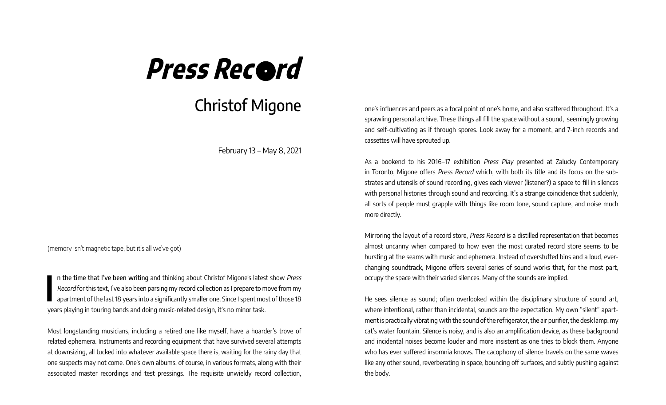## **Press Record**

## Christof Migone

February 13 – May 8, 2021

(memory isn't magnetic tape, but it's all we've got)

**I** n the time that I've been writing and thinking about Christof Migone's latest show Press Record for this text, I've also been parsing my record collection as I prepare to move from my apartment of the last 18 years into a significantly smaller one. Since I spent most of those 18 years playing in touring bands and doing music-related design, it's no minor task.

Most longstanding musicians, including a retired one like myself, have a hoarder's trove of related ephemera. Instruments and recording equipment that have survived several attempts at downsizing, all tucked into whatever available space there is, waiting for the rainy day that one suspects may not come. One's own albums, of course, in various formats, along with their associated master recordings and test pressings. The requisite unwieldy record collection,

one's infuences and peers as a focal point of one's home, and also scattered throughout. It's a sprawling personal archive. These things all fll the space without a sound, seemingly growing and self-cultivating as if through spores. Look away for a moment, and 7-inch records and cassettes will have sprouted up.

As a bookend to his 2016–17 exhibition Press Play presented at Zalucky Contemporary in Toronto, Migone offers Press Record which, with both its title and its focus on the substrates and utensils of sound recording, gives each viewer (listener?) a space to fll in silences with personal histories through sound and recording. It's a strange coincidence that suddenly, all sorts of people must grapple with things like room tone, sound capture, and noise much more directly.

Mirroring the layout of a record store, Press Record is a distilled representation that becomes almost uncanny when compared to how even the most curated record store seems to be bursting at the seams with music and ephemera. Instead of overstuffed bins and a loud, everchanging soundtrack, Migone offers several series of sound works that, for the most part, occupy the space with their varied silences. Many of the sounds are implied.

He sees silence as sound; often overlooked within the disciplinary structure of sound art, where intentional, rather than incidental, sounds are the expectation. My own "silent" apartment is practically vibrating with the sound of the refrigerator, the air purifer, the desk lamp, my cat's water fountain. Silence is noisy, and is also an amplifcation device, as these background and incidental noises become louder and more insistent as one tries to block them. Anyone who has ever suffered insomnia knows. The cacophony of silence travels on the same waves like any other sound, reverberating in space, bouncing off surfaces, and subtly pushing against the body.